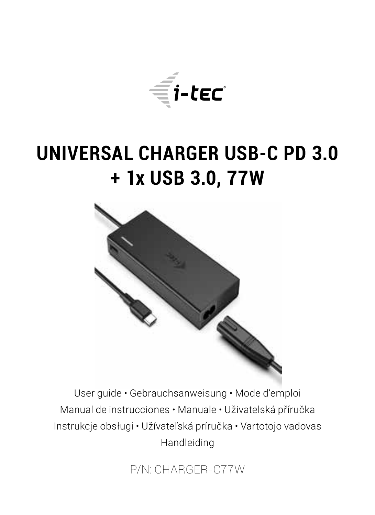-tec

# **UNIVERSAL CHARGER USB-C PD 3.0 + 1x USB 3.0, 77W**



User guide • Gebrauchsanweisung • Mode d'emploi Manual de instrucciones • Manuale • Uživatelská příručka Instrukcje obsługi • Užívateľská príručka • Vartotojo vadovas Handleiding

P/N: CHARGER-C77W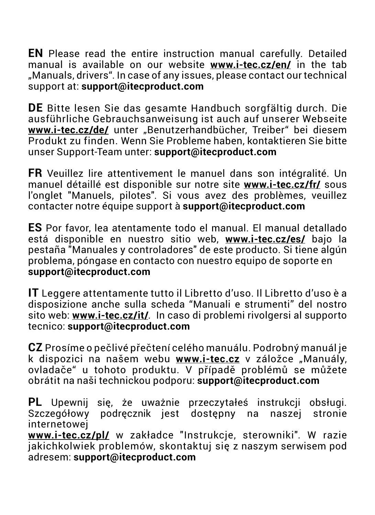**EN** Please read the entire instruction manual carefully. Detailed manual is available on our website **www.i-tec.cz/en/** in the tab "Manuals, drivers". In case of any issues, please contact our technical support at: **support@itecproduct.com**

**DE** Bitte lesen Sie das gesamte Handbuch sorgfältig durch. Die ausführliche Gebrauchsanweisung ist auch auf unserer Webseite www.i-tec.cz/de/ unter "Benutzerhandbücher, Treiber" bei diesem Produkt zu finden. Wenn Sie Probleme haben, kontaktieren Sie bitte unser Support-Team unter: **support@itecproduct.com**

**FR** Veuillez lire attentivement le manuel dans son intégralité. Un manuel détaillé est disponible sur notre site **www.i-tec.cz/fr/** sous l'onglet "Manuels, pilotes". Si vous avez des problèmes, veuillez contacter notre équipe support à **support@itecproduct.com**

**ES** Por favor, lea atentamente todo el manual. El manual detallado está disponible en nuestro sitio web, **www.i-tec.cz/es/** bajo la pestaña "Manuales y controladores" de este producto. Si tiene algún problema, póngase en contacto con nuestro equipo de soporte en **support@itecproduct.com**

**IT** Leggere attentamente tutto il Libretto d'uso. Il Libretto d'uso è a disposizione anche sulla scheda "Manuali e strumenti" del nostro sito web: **www.i-tec.cz/it/**. In caso di problemi rivolgersi al supporto tecnico: **support@itecproduct.com**

**CZ** Prosíme o pečlivé přečtení celého manuálu. Podrobný manuál je k dispozici na našem webu **www.i-tec.cz** v záložce "Manuály, ovladače" u tohoto produktu. V případě problémů se můžete obrátit na naši technickou podporu: **support@itecproduct.com**

**PL** Upewnij się, że uważnie przeczytałeś instrukcji obsługi. Szczegółowy podręcznik jest dostępny na naszej stronie internetowej

**www.i-tec.cz/pl/** w zakładce "Instrukcje, sterowniki". W razie jakichkolwiek problemów, skontaktuj się z naszym serwisem pod adresem: **support@itecproduct.com**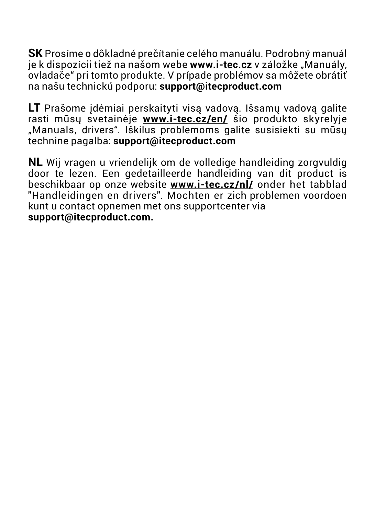**SK** Prosíme o dôkladné prečítanie celého manuálu. Podrobný manuál je k dispozícii tiež na našom webe www.i-tec.cz v záložke "Manuály, ovladače" pri tomto produkte. V prípade problémov sa môžete obrátiť na našu technickú podporu: **support@itecproduct.com**

**LT** Prašome įdėmiai perskaityti visą vadovą. Išsamų vadovą galite rasti mūsų svetainėje <u>**www.i-tec.cz/en/** ši</u>o produkto skyrelyje<br>"Manuals, drivers". Iškilus problemoms galite susisiekti su mūsų technine pagalba: **support@itecproduct.com**

**NL** Wij vragen u vriendelijk om de volledige handleiding zorgvuldig door te lezen. Een gedetailleerde handleiding van dit product is beschikbaar op onze website **www.i-tec.cz/nl/** onder het tabblad "Handleidingen en drivers". Mochten er zich problemen voordoen kunt u contact opnemen met ons supportcenter via **support@itecproduct.com.**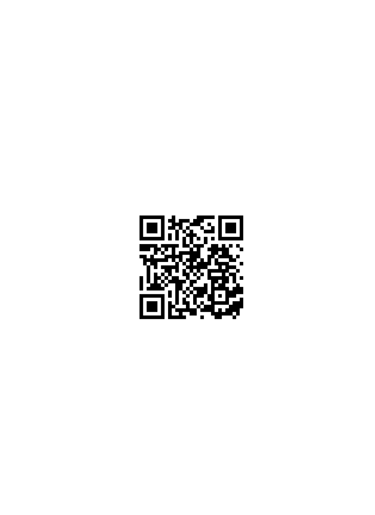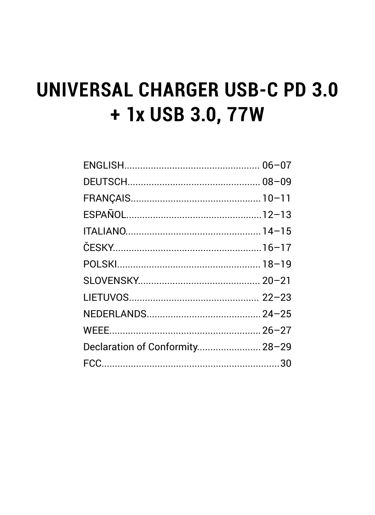# **UNIVERSAL CHARGER USB-C PD 3.0** + 1x USB 3.0, 77W

| Declaration of Conformity 28-29 |  |
|---------------------------------|--|
|                                 |  |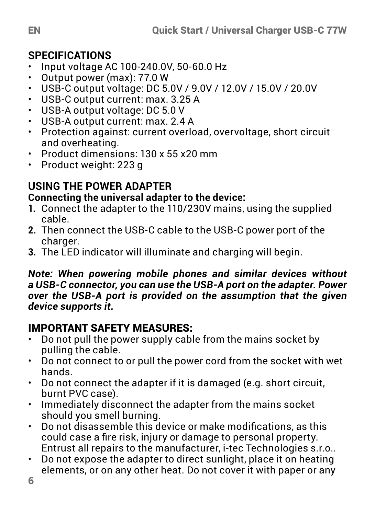### **SPECIFICATIONS**

- Input voltage AC 100-240.0V, 50-60.0 Hz
- Output power (max):  $77.0 W$ <br>• USB-C output voltage: DC 5
- USB-C output voltage: DC 5.0V / 9.0V / 12.0V / 15.0V / 20.0V
- $\cdot$  USB-C output current: max. 3.25 A
- USB-A output voltage: DC 5.0 V
- USB-A output current: max. 2.4 A
- Protection against: current overload, overvoltage, short circuit and overheating.
- Product dimensions: 130 x 55 x20 mm
- Product weight: 223 g

#### **USING THE POWER ADAPTER Connecting the universal adapter to the device:**

- **1.** Connect the adapter to the 110/230V mains, using the supplied cable.
- **2.** Then connect the USB-C cable to the USB-C power port of the charger.
- **3.** The LED indicator will illuminate and charging will begin.

*Note: When powering mobile phones and similar devices without a USB-C connector, you can use the USB-A port on the adapter. Power over the USB-A port is provided on the assumption that the given device supports it.*

### IMPORTANT SAFETY MEASURES:

- Do not pull the power supply cable from the mains socket by pulling the cable.
- Do not connect to or pull the power cord from the socket with wet hands.
- Do not connect the adapter if it is damaged (e.g. short circuit, burnt PVC case).
- Immediately disconnect the adapter from the mains socket should you smell burning.
- Do not disassemble this device or make modifications, as this could case a fire risk, injury or damage to personal property. Entrust all repairs to the manufacturer, i-tec Technologies s.r.o..
- Do not expose the adapter to direct sunlight, place it on heating elements, or on any other heat. Do not cover it with paper or any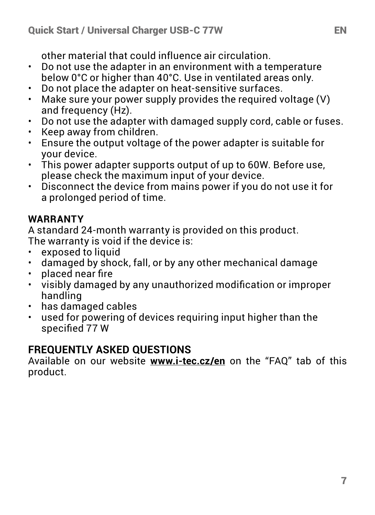other material that could influence air circulation.

- Do not use the adapter in an environment with a temperature below 0°C or higher than 40°C. Use in ventilated areas only.
- Do not place the adapter on heat-sensitive surfaces.
- Make sure your power supply provides the required voltage (V) and frequency (Hz).
- Do not use the adapter with damaged supply cord, cable or fuses.
- Keep away from children.
- Ensure the output voltage of the power adapter is suitable for your device.
- This power adapter supports output of up to 60W. Before use, please check the maximum input of your device.
- Disconnect the device from mains power if you do not use it for a prolonged period of time.

#### **WARRANTY**

A standard 24-month warranty is provided on this product. The warranty is void if the device is:

- exposed to liquid
- damaged by shock, fall, or by any other mechanical damage
- placed near fire
- visibly damaged by any unauthorized modification or improper handling
- has damaged cables
- used for powering of devices requiring input higher than the specified 77 W

## **FREQUENTLY ASKED QUESTIONS**

Available on our website **www.i-tec.cz/en** on the "FAQ" tab of this product.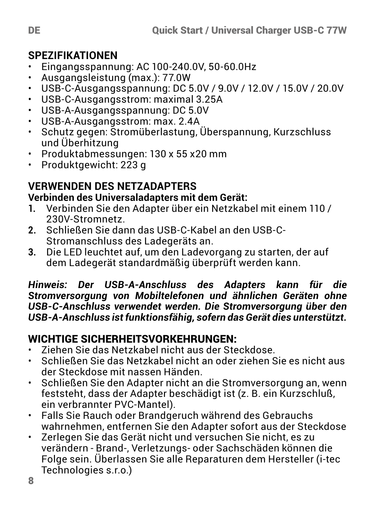#### **SPEZIFIKATIONEN**

- Eingangsspannung: AC 100-240.0V, 50-60.0Hz
- Ausgangsleistung (max.): 77.0W
- USB-C-Ausgangsspannung: DC 5.0V / 9.0V / 12.0V / 15.0V / 20.0V<br>• USB-C-Ausgangsstrom: maximal 3.25A
- USB-C-Ausgangsstrom: maximal 3.25A
- USB-A-Ausgangsspannung: DC 5.0V
- USB-A-Ausgangsstrom: max. 2.4A
- Schutz gegen: Stromüberlastung, Überspannung, Kurzschluss und Überhitzung
- Produktabmessungen: 130 x 55 x20 mm
- Produktgewicht:  $2\overline{2}3$  g

#### **VERWENDEN DES NETZADAPTERS Verbinden des Universaladapters mit dem Gerät:**

- **1.** Verbinden Sie den Adapter über ein Netzkabel mit einem 110 / 230V-Stromnetz.
- **2.** Schließen Sie dann das USB-C-Kabel an den USB-C-Stromanschluss des Ladegeräts an.
- **3.** Die LED leuchtet auf, um den Ladevorgang zu starten, der auf dem Ladegerät standardmäßig überprüft werden kann.

*Hinweis: Der USB-A-Anschluss des Adapters kann für die Stromversorgung von Mobiltelefonen und ähnlichen Geräten ohne USB-C-Anschluss verwendet werden. Die Stromversorgung über den USB-A-Anschluss ist funktionsfähig, sofern das Gerät dies unterstützt.*

## WICHTIGE SICHERHEITSVORKEHRUNGEN:

- Ziehen Sie das Netzkabel nicht aus der Steckdose.
- Schließen Sie das Netzkabel nicht an oder ziehen Sie es nicht aus der Steckdose mit nassen Händen.
- Schließen Sie den Adapter nicht an die Stromversorgung an, wenn feststeht, dass der Adapter beschädigt ist (z. B. ein Kurzschluß, ein verbrannter PVC-Mantel).
- Falls Sie Rauch oder Brandgeruch während des Gebrauchs wahrnehmen, entfernen Sie den Adapter sofort aus der Steckdose
- Zerlegen Sie das Gerät nicht und versuchen Sie nicht, es zu verändern - Brand-, Verletzungs- oder Sachschäden können die Folge sein. Überlassen Sie alle Reparaturen dem Hersteller (i-tec Technologies s.r.o.)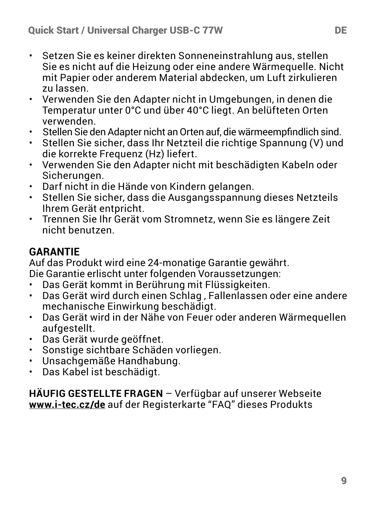- Setzen Sie es keiner direkten Sonneneinstrahlung aus, stellen Sie es nicht auf die Heizung oder eine andere Wärmequelle. Nicht mit Papier oder anderem Material abdecken, um Luft zirkulieren zu lassen.
- Verwenden Sie den Adapter nicht in Umgebungen, in denen die Temperatur unter 0°C und über 40°C liegt. An belüfteten Orten verwenden.
- Stellen Sie den Adapter nicht an Orten auf, die wärmeempfindlich sind.
- Stellen Sie sicher, dass Ihr Netzteil die richtige Spannung (V) und die korrekte Frequenz (Hz) liefert.
- Verwenden Sie den Adapter nicht mit beschädigten Kabeln oder Sicherungen.
- Darf nicht in die Hände von Kindern gelangen.
- Stellen Sie sicher, dass die Ausgangsspannung dieses Netzteils Ihrem Gerät entpricht.
- Trennen Sie Ihr Gerät vom Stromnetz, wenn Sie es längere Zeit nicht benutzen.

### **GARANTIE**

Auf das Produkt wird eine 24-monatige Garantie gewährt.

Die Garantie erlischt unter folgenden Voraussetzungen:

- Das Gerät kommt in Berührung mit Flüssigkeiten.
- Das Gerät wird durch einen Schlag , Fallenlassen oder eine andere mechanische Einwirkung beschädigt.
- Das Gerät wird in der Nähe von Feuer oder anderen Wärmequellen aufgestellt.
- Das Gerät wurde geöffnet.
- Sonstige sichtbare Schäden vorliegen.
- Unsachgemäße Handhabung.
- Das Kabel ist beschädigt.

**HÄUFIG GESTELLTE FRAGEN** – Verfügbar auf unserer Webseite **www.i-tec.cz/de** auf der Registerkarte "FAQ" dieses Produkts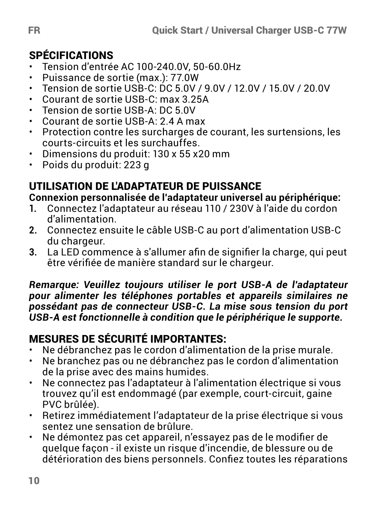# SPÉCIFICATIONS

- $\cdot$  Tension d'entrée AC 100-240.0V, 50-60.0Hz
- Puissance de sortie (max.): 77.0W<br>• Topsion de sortie USB-C: DC 5.0V
- Tension de sortie USB-C: DC 5.0V / 9.0V / 12.0V / 15.0V / 20.0V
- Courant de sortie USB-C: max 3.25A
- Tension de sortie USB-A: DC 5.0V
- Courant de sortie USB-A: 2.4 A max
- Protection contre les surcharges de courant, les surtensions, les courts-circuits et les surchauffes.
- Dimensions du produit: 130 x 55 x20 mm
- Poids du produit: 223 g

## UTILISATION DE L'ADAPTATEUR DE PUISSANCE

**Connexion personnalisée de l'adaptateur universel au périphérique:**

- **1.** Connectez l'adaptateur au réseau 110 / 230V à l'aide du cordon d'alimentation.
- **2.** Connectez ensuite le câble USB-C au port d'alimentation USB-C du chargeur.
- **3.** La LED commence à s'allumer afin de signifier la charge, qui peut être vérifiée de manière standard sur le chargeur.

*Remarque: Veuillez toujours utiliser le port USB-A de l'adaptateur pour alimenter les téléphones portables et appareils similaires ne possédant pas de connecteur USB-C. La mise sous tension du port USB-A est fonctionnelle à condition que le périphérique le supporte.*

# MESURES DE SÉCURITÉ IMPORTANTES:

- Ne débranchez pas le cordon d'alimentation de la prise murale.
- Ne branchez pas ou ne débranchez pas le cordon d'alimentation de la prise avec des mains humides.
- Ne connectez pas l'adaptateur à l'alimentation électrique si vous trouvez qu'il est endommagé (par exemple, court-circuit, gaine PVC brûlée).
- Retirez immédiatement l'adaptateur de la prise électrique si vous sentez une sensation de brûlure.
- Ne démontez pas cet appareil, n'essayez pas de le modifier de quelque façon - il existe un risque d'incendie, de blessure ou de détérioration des biens personnels. Confiez toutes les réparations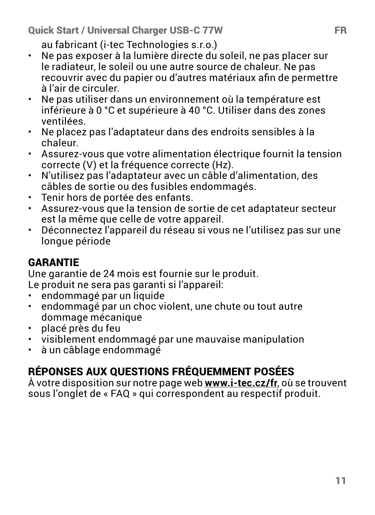au fabricant (i-tec Technologies s.r.o.)

- Ne pas exposer à la lumière directe du soleil, ne pas placer sur le radiateur, le soleil ou une autre source de chaleur. Ne pas recouvrir avec du papier ou d'autres matériaux afin de permettre à l'air de circuler.
- Ne pas utiliser dans un environnement où la température est inférieure à 0 °C et supérieure à 40 °C. Utiliser dans des zones ventilées.
- Ne placez pas l'adaptateur dans des endroits sensibles à la chaleur.
- Assurez-vous que votre alimentation électrique fournit la tension correcte (V) et la fréquence correcte (Hz).
- N'utilisez pas l'adaptateur avec un câble d'alimentation, des câbles de sortie ou des fusibles endommagés.
- Tenir hors de portée des enfants.
- Assurez-vous que la tension de sortie de cet adaptateur secteur est la même que celle de votre appareil.
- Déconnectez l'appareil du réseau si vous ne l'utilisez pas sur une longue période

# **GARANTIE**

Une garantie de 24 mois est fournie sur le produit. Le produit ne sera pas garanti si l'appareil:

- endommagé par un liquide
- endommagé par un choc violent, une chute ou tout autre dommage mécanique
- placé près du feu
- visiblement endommagé par une mauvaise manipulation
- à un câblage endommagé

# RÉPONSES AUX QUESTIONS FRÉQUEMMENT POSÉES

À votre disposition sur notre page web **www.i-tec.cz/fr**, où se trouvent sous l'onglet de « FAQ » qui correspondent au respectif produit.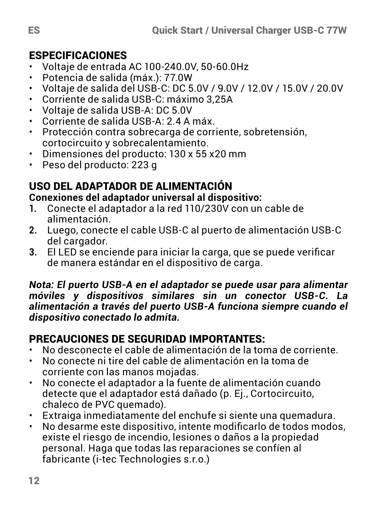#### ESPECIFICACIONES

- Voltaje de entrada AC 100-240.0V, 50-60.0Hz<br>• Potopoja de salida (máx): 77.0W
- Potencia de salida (máx.): 77.0W
- Voltaje de salida del USB-C: DC 5.0V / 9.0V / 12.0V / 15.0V / 20.0V
- Corriente de salida USB-C: máximo 3,25A
- Voltaje de salida USB-A: DC 5.0V
- Corriente de salida USB-A: 2.4 A máx.
- Protección contra sobrecarga de corriente, sobretensión, cortocircuito y sobrecalentamiento.
- Dimensiones del producto: 130 x 55 x20 mm
- Peso del producto: 223 g

# USO DEL ADAPTADOR DE ALIMENTACIÓN

# **Conexiones del adaptador universal al dispositivo:**

- **1.** Conecte el adaptador a la red 110/230V con un cable de alimentación.
- **2.** Luego, conecte el cable USB-C al puerto de alimentación USB-C del cargador.
- **3.** El LED se enciende para iniciar la carga, que se puede verificar de manera estándar en el dispositivo de carga.

*Nota: El puerto USB-A en el adaptador se puede usar para alimentar móviles y dispositivos similares sin un conector USB-C. La alimentación a través del puerto USB-A funciona siempre cuando el dispositivo conectado lo admita.*

### PRECAUCIONES DE SEGURIDAD IMPORTANTES:

- No desconecte el cable de alimentación de la toma de corriente.
- No conecte ni tire del cable de alimentación en la toma de corriente con las manos mojadas.
- No conecte el adaptador a la fuente de alimentación cuando detecte que el adaptador está dañado (p. Ej., Cortocircuito, chaleco de PVC quemado).
- Extraiga inmediatamente del enchufe si siente una quemadura.
- No desarme este dispositivo, intente modificarlo de todos modos, existe el riesgo de incendio, lesiones o daños a la propiedad personal. Haga que todas las reparaciones se confíen al fabricante (i-tec Technologies s.r.o.)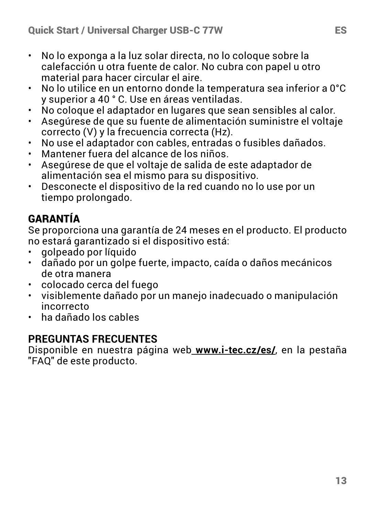- No lo exponga a la luz solar directa, no lo coloque sobre la calefacción u otra fuente de calor. No cubra con papel u otro material para hacer circular el aire.
- No lo utilice en un entorno donde la temperatura sea inferior a 0°C y superior a 40 ° C. Use en áreas ventiladas.
- No coloque el adaptador en lugares que sean sensibles al calor.
- Asegúrese de que su fuente de alimentación suministre el voltaje correcto (V) y la frecuencia correcta (Hz).
- No use el adaptador con cables, entradas o fusibles dañados.
- Mantener fuera del alcance de los niños.
- Asegúrese de que el voltaje de salida de este adaptador de alimentación sea el mismo para su dispositivo.
- Desconecte el dispositivo de la red cuando no lo use por un tiempo prolongado.

# GARANTÍA

Se proporciona una garantía de 24 meses en el producto. El producto no estará garantizado si el dispositivo está:

- golpeado por líquido
- dañado por un golpe fuerte, impacto, caída o daños mecánicos de otra manera
- colocado cerca del fuego
- visiblemente dañado por un manejo inadecuado o manipulación incorrecto
- ha dañado los cables

### **PREGUNTAS FRECUENTES**

Disponible en nuestra página web **www.i-tec.cz/es/**, en la pestaña "FAQ" de este producto.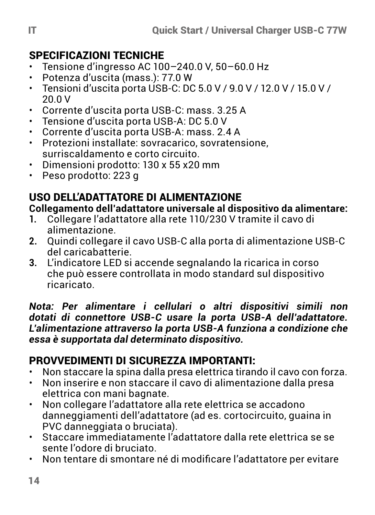## SPECIFICAZIONI TECNICHE

- $\cdot$  Tensione d'ingresso AC 100-240.0 V, 50-60.0 Hz<br> $\cdot$  Potenza d'useita (mass.): 77.0 W
- Potenza d'uscita (mass.): 77.0 W
- $\cdot$  Tensioni d'uscita porta USB-C: DC 5.0 V / 9.0 V / 12.0 V / 15.0 V / 20.0 V
- Corrente d'uscita porta USB-C: mass. 3.25 A
- Tensione d'uscita porta USB-A: DC 5.0 V
- Corrente d'uscita porta USB-A: mass. 2.4 A
- Protezioni installate: sovracarico, sovratensione, surriscaldamento e corto circuito.
- Dimensioni prodotto: 130 x 55 x20 mm
- Peso prodotto: 223 g

## USO DELL'ADATTATORE DI ALIMENTAZIONE

#### **Collegamento dell'adattatore universale al dispositivo da alimentare:**

- **1.** Collegare l'adattatore alla rete 110/230 V tramite il cavo di alimentazione.
- **2.** Quindi collegare il cavo USB-C alla porta di alimentazione USB-C del caricabatterie.
- **3.** L'indicatore LED si accende segnalando la ricarica in corso che può essere controllata in modo standard sul dispositivo ricaricato.

*Nota: Per alimentare i cellulari o altri dispositivi simili non dotati di connettore USB-C usare la porta USB-A dell'adattatore. L'alimentazione attraverso la porta USB-A funziona a condizione che essa è supportata dal determinato dispositivo.*

# PROVVEDIMENTI DI SICUREZZA IMPORTANTI:

- Non staccare la spina dalla presa elettrica tirando il cavo con forza.
- Non inserire e non staccare il cavo di alimentazione dalla presa elettrica con mani bagnate.
- Non collegare l'adattatore alla rete elettrica se accadono danneggiamenti dell'adattatore (ad es. cortocircuito, guaina in PVC danneggiata o bruciata).
- Staccare immediatamente l'adattatore dalla rete elettrica se se sente l'odore di bruciato.
- Non tentare di smontare né di modificare l'adattatore per evitare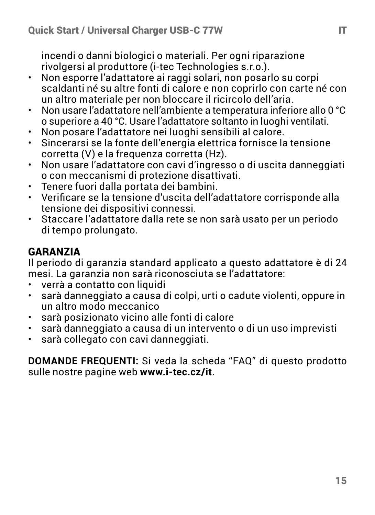incendi o danni biologici o materiali. Per ogni riparazione rivolgersi al produttore (i-tec Technologies s.r.o.).

- Non esporre l'adattatore ai raggi solari, non posarlo su corpi scaldanti né su altre fonti di calore e non coprirlo con carte né con un altro materiale per non bloccare il ricircolo dell'aria.
- Non usare l'adattatore nell'ambiente a temperatura inferiore allo 0 °C o superiore a 40 °C. Usare l'adattatore soltanto in luoghi ventilati.
- Non posare l'adattatore nei luoghi sensibili al calore.
- Sincerarsi se la fonte dell'energia elettrica fornisce la tensione corretta (V) e la frequenza corretta (Hz).
- Non usare l'adattatore con cavi d'ingresso o di uscita danneggiati o con meccanismi di protezione disattivati.
- Tenere fuori dalla portata dei bambini.
- Verificare se la tensione d'uscita dell'adattatore corrisponde alla tensione dei dispositivi connessi.
- Staccare l'adattatore dalla rete se non sarà usato per un periodo di tempo prolungato.

## GARANZIA

Il periodo di garanzia standard applicato a questo adattatore è di 24 mesi. La garanzia non sarà riconosciuta se l'adattatore:

- verrà a contatto con liquidi
- sarà danneggiato a causa di colpi, urti o cadute violenti, oppure in un altro modo meccanico
- sarà posizionato vicino alle fonti di calore
- sarà danneggiato a causa di un intervento o di un uso imprevisti
- sarà collegato con cavi danneggiati.

**DOMANDE FREQUENTI:** Si veda la scheda "FAQ" di questo prodotto sulle nostre pagine web **www.i-tec.cz/it**.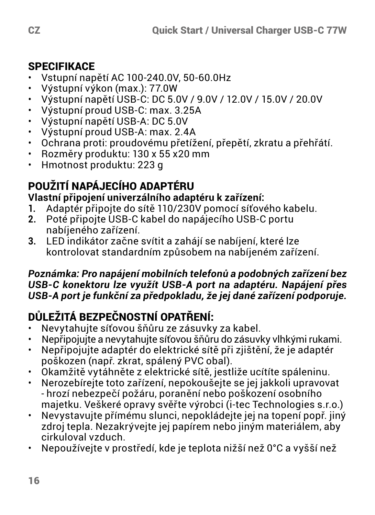### SPECIFIKACE

- $\cdot$  Vstupní napětí AC 100-240.0V, 50-60.0Hz
- Výstupní výkon (max.): 77.0W<br>• Výstupní napětí USB-C: DC 5.0
- Výstupní napětí USB-C: DC 5.0V / 9.0V / 12.0V / 15.0V / 20.0V
- Výstupní proud USB-C: max. 3.25A
- Výstupní napětí USB-A: DC 5.0V
- Výstupní proud USB-A: max. 2.4A
- Ochrana proti: proudovému přetížení, přepětí, zkratu a přehřátí.
- Rozměry produktu: 130 x 55 x20 mm
- Hmotnost produktu: 223 g

# POUŽITÍ NAPÁJECÍHO ADAPTÉRU

# **Vlastní připojení univerzálního adaptéru k zařízení:**

- **1.** Adaptér připojte do sítě 110/230V pomocí síťového kabelu.
- **2.** Poté připojte USB-C kabel do napájecího USB-C portu nabíjeného zařízení.
- **3.** LED indikátor začne svítit a zahájí se nabíjení, které lze kontrolovat standardním způsobem na nabíjeném zařízení.

*Poznámka: Pro napájení mobilních telefonů a podobných zařízení bez USB-C konektoru lze využít USB-A port na adaptéru. Napájení přes USB-A port je funkční za předpokladu, že jej dané zařízení podporuje.*

# DŮLEŽITÁ BEZPEČNOSTNÍ OPATŘENÍ:<br>• Nevytabujte síťovou šňůru ze zásuvky

- Nevytahujte síťovou šňůru ze zásuvky za kabel.
- Nepřipojujte a nevytahujte síťovou šňůru do zásuvky vlhkými rukami.
- Nepřipojujte adaptér do elektrické sítě při zjištění, že je adaptér poškozen (např. zkrat, spálený PVC obal).
- Okamžitě vytáhněte z elektrické sítě, jestliže ucítíte spáleninu.
- Nerozebírejte toto zařízení, nepokoušejte se jej jakkoli upravovat - hrozí nebezpečí požáru, poranění nebo poškození osobního majetku. Veškeré opravy svěřte výrobci (i-tec Technologies s.r.o.)
- Nevystavujte přímému slunci, nepokládejte jej na topení popř. jiný zdroj tepla. Nezakrývejte jej papírem nebo jiným materiálem, aby cirkuloval vzduch.
- Nepoužívejte v prostředí, kde je teplota nižší než 0°C a vyšší než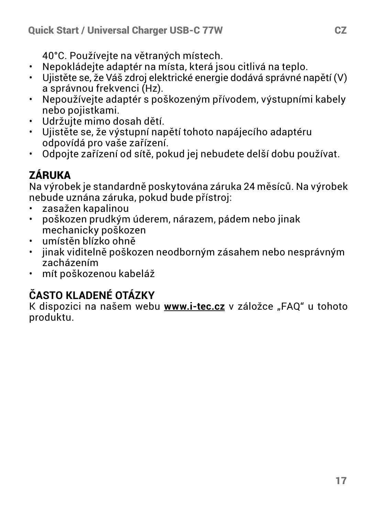40°C. Používejte na větraných místech.

- Nepokládejte adaptér na místa, která jsou citlivá na teplo.
- Ujistěte se, že Váš zdroj elektrické energie dodává správné napětí (V) a správnou frekvenci (Hz).
- Nepoužívejte adaptér s poškozeným přívodem, výstupními kabely nebo pojistkami.
- Udržujte mimo dosah dětí.
- Ujistěte se, že výstupní napětí tohoto napájecího adaptéru odpovídá pro vaše zařízení.
- Odpojte zařízení od sítě, pokud jej nebudete delší dobu používat.

# ZÁRUKA

Na výrobek je standardně poskytována záruka 24 měsíců. Na výrobek nebude uznána záruka, pokud bude přístroj:

- zasažen kapalinou
- poškozen prudkým úderem, nárazem, pádem nebo jinak mechanicky poškozen
- umístěn blízko ohně<br>• jinak viditelně poěko
- jinak viditelně poškozen neodborným zásahem nebo nesprávným zacházením
- mít poškozenou kabeláž

# **ČASTO KLADENÉ OTÁZKY**

K dispozici na našem webu **www.i-tec.cz** v záložce "FAO" u tohoto produktu.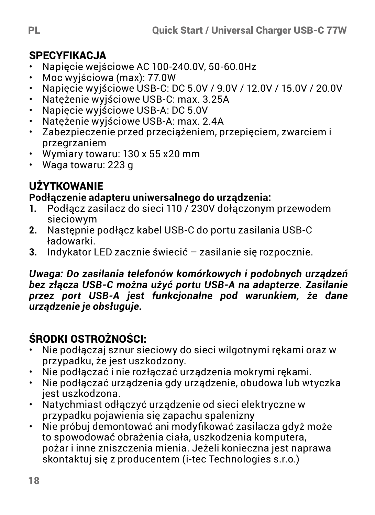#### SPECYFIKACJA

- Napięcie wejściowe AC 100-240.0V, 50-60.0Hz
- Moc wyjściowa (max): 77.0W
- Napięcie wyjściowe USB-C: DC 5.0V / 9.0V / 12.0V / 15.0V / 20.0V<br>• Natażenie wyjściowe USB-C: max 3.25A
- Natężenie wyjściowe USB-C: max. 3.25A
- Napięcie wyjściowe USB-A: DC 5.0V
- Natężenie wyjściowe USB-A: max. 2.4A
- Zabezpieczenie przed przeciążeniem, przepięciem, zwarciem i przegrzaniem
- Wymiary towaru: 130 x 55 x20 mm
- Waga towaru: 223 g

# UŻYTKOWANIE

# **Podłączenie adapteru uniwersalnego do urządzenia:**

- **1.** Podłącz zasilacz do sieci 110 / 230V dołączonym przewodem sieciowym
- **2.** Następnie podłącz kabel USB-C do portu zasilania USB-C ładowarki.
- **3.** Indykator LED zacznie świecić zasilanie się rozpocznie.

*Uwaga: Do zasilania telefonów komórkowych i podobnych urządzeń bez złącza USB-C można użyć portu USB-A na adapterze. Zasilanie przez port USB-A jest funkcjonalne pod warunkiem, że dane urządzenie je obsługuje.*

# ŚRODKI OSTROŻNOŚCI:

- Nie podłączaj sznur sieciowy do sieci wilgotnymi rękami oraz w przypadku, że jest uszkodzony.
- Nie podłączać i nie rozłączać urządzenia mokrymi rękami.
- Nie podłączać urządzenia gdy urządzenie, obudowa lub wtyczka jest uszkodzona.
- Natychmiast odłączyć urządzenie od sieci elektryczne w przypadku pojawienia się zapachu spalenizny
- $\cdot$  Nie próbuj demontować ani modyfikować zasilacza gdyż może to spowodować obrażenia ciała, uszkodzenia komputera, pożar i inne zniszczenia mienia. Jeżeli konieczna jest naprawa skontaktuj się z producentem (i-tec Technologies s.r.o.)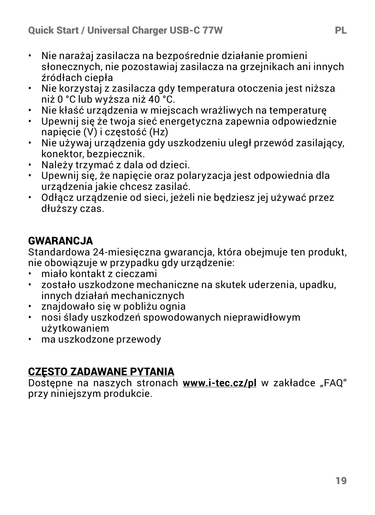- Nie narażaj zasilacza na bezpośrednie działanie promieni słonecznych, nie pozostawiaj zasilacza na grzejnikach ani innych źródłach ciepła
- $\cdot$  Nie korzystaj z zasilacza gdy temperatura otoczenia jest niższa niż 0 °C lub wyższa niż 40 °C.
- Nie kłaść urządzenia w miejscach wrażliwych na temperaturę
- Upewnij się że twoja sieć energetyczna zapewnia odpowiedznie napięcie (V) i częstość (Hz)
- $\cdot$  Nie używaj urządzenia gdy uszkodzeniu uległ przewód zasilający. konektor, bezpiecznik.
- Należy trzymać z dala od dzieci.
- Upewnij się, że napięcie oraz polaryzacja jest odpowiednia dla urządzenia jakie chcesz zasilać.
- $\cdot$  Odłącz urządzenie od sieci, jeżeli nie będziesz jej używać przez dłuższy czas.

## **GWARANCJA**

Standardowa 24-miesięczna gwarancja, która obejmuje ten produkt, nie obowiązuje w przypadku gdy urządzenie:

- miało kontakt z cieczami
- zostało uszkodzone mechaniczne na skutek uderzenia, upadku, innych działań mechanicznych
- znajdowało się w pobliżu ognia
- nosi ślady uszkodzeń spowodowanych nieprawidłowym użytkowaniem
- $\cdot$  ma uszkodzone przewody

# **CZESTO ZADAWANE PYTANIA**

Dostępne na naszych stronach **www.i-tec.cz/pl** w zakładce "FAQ" przy niniejszym produkcie.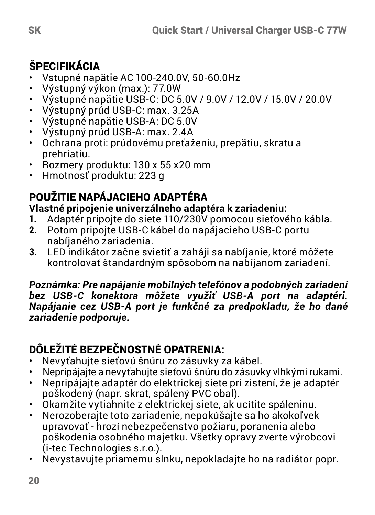# ŠPECIFIKÁCIA

- Vstupné napätie AC 100-240.0V, 50-60.0Hz
- Výstupný výkon (max.): 77.0W<br>• Výstupné panätie USB-C: DC 5
- Výstupné napätie USB-C: DC 5.0V / 9.0V / 12.0V / 15.0V / 20.0V
- Výstupný prúd USB-C: max. 3.25A
- Výstupné napätie USB-A: DC 5.0V
- Výstupný prúd USB-A: max. 2.4A
- Ochrana proti: prúdovému preťaženiu, prepätiu, skratu a prehriatiu.
- Rozmery produktu: 130 x 55 x20 mm
- Hmotnosť produktu: 223 g

# POLIŽITIE NAPÁJACIEHO ADAPTÉRA

#### **Vlastné pripojenie univerzálneho adaptéra k zariadeniu:**

- **1.** Adaptér pripojte do siete 110/230V pomocou sieťového kábla.
- **2.** Potom pripojte USB-C kábel do napájacieho USB-C portu nabíjaného zariadenia.
- **3.** LED indikátor začne svietiť a zaháji sa nabíjanie, ktoré môžete kontrolovať štandardným spôsobom na nabíjanom zariadení.

*Poznámka: Pre napájanie mobilných telefónov a podobných zariadení bez USB-C konektora môžete využiť USB-A port na adaptéri. Napájanie cez USB-A port je funkčné za predpokladu, že ho dané zariadenie podporuje.*

# DÔLEŽITÉ BEZPEČNOSTNÉ OPATRENIA:

- Nevyťahujte sieťovú šnúru zo zásuvky za kábel.
- Nepripájajte a nevyťahujte sieťovú šnúru do zásuvky vlhkými rukami.
- Nepripájajte adaptér do elektrickej siete pri zistení, že je adaptér poškodený (napr. skrat, spálený PVC obal).
- Okamžite vytiahnite z elektrickej siete, ak ucítite spáleninu.
- Nerozoberajte toto zariadenie, nepokúšajte sa ho akokoľvek upravovať - hrozí nebezpečenstvo požiaru, poranenia alebo poškodenia osobného majetku. Všetky opravy zverte výrobcovi (i-tec Technologies s.r.o.).
- Nevystavujte priamemu slnku, nepokladajte ho na radiátor popr.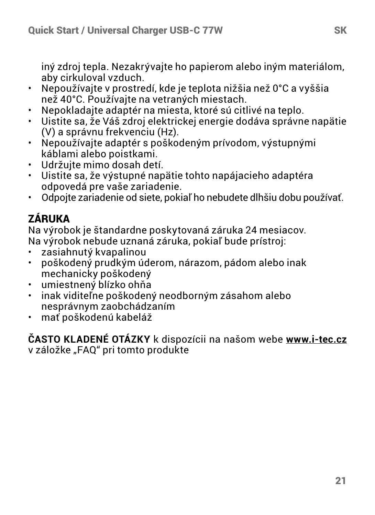iný zdroj tepla. Nezakrývajte ho papierom alebo iným materiálom, aby cirkuloval vzduch.

- Nepoužívajte v prostredí, kde je teplota nižšia než 0°C a vyššia než 40°C. Používajte na vetraných miestach.
- Nepokladajte adaptér na miesta, ktoré sú citlivé na teplo.
- Uistite sa, že Váš zdroj elektrickej energie dodáva správne napätie (V) a správnu frekvenciu (Hz).
- Nepoužívajte adaptér s poškodeným prívodom, výstupnými káblami alebo poistkami.
- Udržujte mimo dosah detí.
- Uistite sa, že výstupné napätie tohto napájacieho adaptéra odpovedá pre vaše zariadenie.
- Odpojte zariadenie od siete, pokiaľ ho nebudete dlhšiu dobu používať.

# ZÁRUKA

Na výrobok je štandardne poskytovaná záruka 24 mesiacov. Na výrobok nebude uznaná záruka, pokiaľ bude prístroj:

- zasiahnutý kvapalinou
- poškodený prudkým úderom, nárazom, pádom alebo inak mechanicky poškodený
- umiestnený blízko ohňa
- inak viditeľne poškodený neodborným zásahom alebo nesprávnym zaobchádzaním
- mať poškodenú kabeláž

**ČASTO KLADENÉ OTÁZKY** k dispozícii na našom webe **www.i-tec.cz** v záložke "FAQ" pri tomto produkte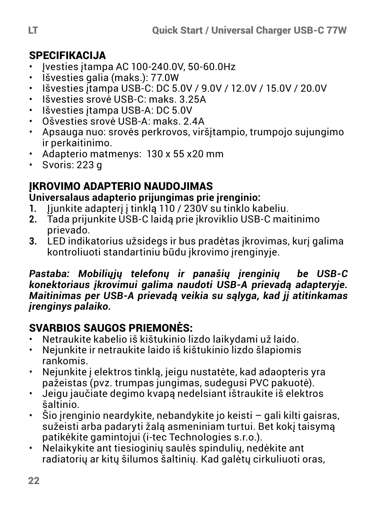## SPECIFIKACIJA

- $\cdot$  Įvesties įtampa AC 100-240.0V, 50-60.0Hz
- Išvesties galia (maks.): 77.0W<br>• Išvesties itamna LISB-C: DC 5
- $\cdot$  Išvesties įtampa USB-C: DC 5.0V / 9.0V / 12.0V / 15.0V / 20.0V<br> $\cdot$  Išvesties srovė USB-C: maks. 3.25A
- Išvesties srovė USB-C: maks. 3.25A
- Išvesties įtampa USB-A: DC 5.0V
- Ošvesties srovė USB-A: maks. 2.4A
- Apsauga nuo: srovės perkrovos, viršįtampio, trumpojo sujungimo ir perkaitinimo.
- Adapterio matmenys: 130 x 55 x20 mm
- $\cdot$  Svoris: 223 g

## ĮKROVIMO ADAPTERIO NAUDOJIMAS

# **Universalaus adapterio prijungimas prie įrenginio:**

- **1.** Įjunkite adapterį į tinklą 110 / 230V su tinklo kabeliu.
- **2.** Tada prijunkite USB-C laidą prie įkroviklio USB-C maitinimo prievado.
- **3.** LED indikatorius užsidegs ir bus pradėtas įkrovimas, kurį galima kontroliuoti standartiniu būdu įkrovimo įrenginyje.

*Pastaba: Mobiliųjų telefonų ir panašių įrenginių be USB-C konektoriaus įkrovimui galima naudoti USB-A prievadą adapteryje. Maitinimas per USB-A prievadą veikia su sąlyga, kad jį atitinkamas įrenginys palaiko.* 

# SVARBIOS SAUGOS PRIEMONĖS:

- Netraukite kabelio iš kištukinio lizdo laikydami už laido.
- Nejunkite ir netraukite laido iš kištukinio lizdo šlapiomis rankomis.
- Nejunkite į elektros tinklą, jeigu nustatėte, kad adaopteris yra pažeistas (pvz. trumpas jungimas, sudegusi PVC pakuotė).
- Jeigu jaučiate degimo kvapą nedelsiant ištraukite iš elektros šaltinio.
- Šio įrenginio neardykite, nebandykite jo keisti gali kilti gaisras, sužeisti arba padaryti žalą asmeniniam turtui. Bet kokį taisymą patikėkite gamintojui (i-tec Technologies s.r.o.).
- Nelaikykite ant tiesioginių saulės spindulių, nedėkite ant radiatorių ar kitų šilumos šaltinių. Kad galėtų cirkuliuoti oras,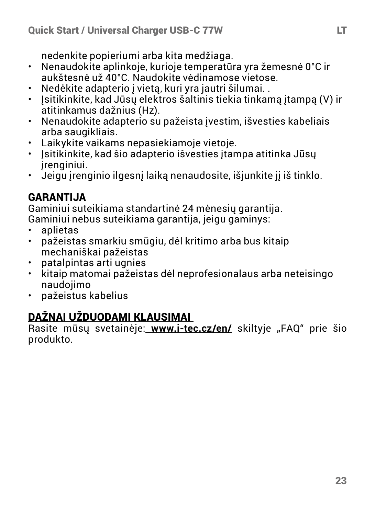nedenkite popieriumi arba kita medžiaga.

- Nenaudokite aplinkoje, kurioje temperatūra yra žemesnė 0°C ir aukštesnė už 40°C. Naudokite vėdinamose vietose.
- Nedėkite adapterio į vietą, kuri yra jautri šilumai. .
- $\cdot$  Isitikinkite, kad Jūsų elektros šaltinis tiekia tinkama įtampa (V) ir atitinkamus dažnius (Hz).
- Nenaudokite adapterio su pažeista įvestim, išvesties kabeliais arba saugikliais.
- Laikykite vaikams nepasiekiamoje vietoje.
- $\cdot$  Įsitikinkite, kad šio adapterio išvesties įtampa atitinka Jūsu įrenginiui.
- Jeigu įrenginio ilgesnį laiką nenaudosite, išjunkite jį iš tinklo.

## GARANTIJA

Gaminiui suteikiama standartinė 24 mėnesių garantija. Gaminiui nebus suteikiama garantija, jeigu gaminys:

- aplietas
- pažeistas smarkiu smūgiu, dėl kritimo arba bus kitaip mechaniškai pažeistas
- patalpintas arti ugnies
- kitaip matomai pažeistas dėl neprofesionalaus arba neteisingo naudojimo
- pažeistus kabelius

# DAŽNAI UŽDUODAMI KLAUSIMAI

Rasite mūsų svetainėje: www.i-tec.cz/en/ skiltyje "FAQ" prie šio produkto.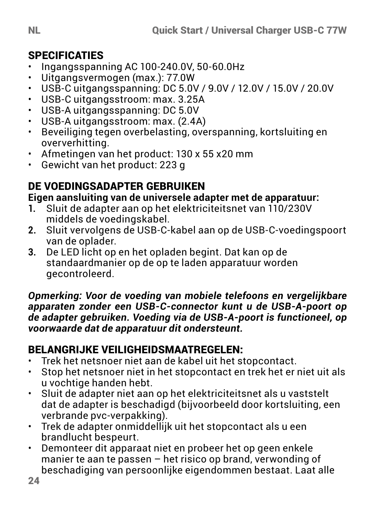## SPECIFICATIES

- Ingangsspanning AC 100-240.0V, 50-60.0Hz
- Uitgangsvermogen (max.): 77.0W
- $\cdot$  USB-C uitgangsspanning: DC 5.0V / 9.0V / 12.0V / 15.0V / 20.0V<br> $\cdot$  USB-C uitgangsstroom: max 3.25A
- USB-C uitgangsstroom: max. 3.25A
- USB-A uitgangsspanning: DC 5.0V
- USB-A uitgangsstroom: max. (2.4A)
- Beveiliging tegen overbelasting, overspanning, kortsluiting en oververhitting.
- Afmetingen van het product: 130 x 55 x20 mm
- Gewicht van het product: 223 g

## DE VOEDINGSADAPTER GEBRUIKEN

# **Eigen aansluiting van de universele adapter met de apparatuur:**

- **1.** Sluit de adapter aan op het elektriciteitsnet van 110/230V middels de voedingskabel.
- **2.** Sluit vervolgens de USB-C-kabel aan op de USB-C-voedingspoort van de oplader.
- **3.** De LED licht op en het opladen begint. Dat kan op de standaardmanier op de op te laden apparatuur worden gecontroleerd.

*Opmerking: Voor de voeding van mobiele telefoons en vergelijkbare apparaten zonder een USB-C-connector kunt u de USB-A-poort op de adapter gebruiken. Voeding via de USB-A-poort is functioneel, op voorwaarde dat de apparatuur dit ondersteunt.*

#### BELANGRIJKE VEILIGHEIDSMAATREGELEN:

- Trek het netsnoer niet aan de kabel uit het stopcontact.
- Stop het netsnoer niet in het stopcontact en trek het er niet uit als u vochtige handen hebt.
- Sluit de adapter niet aan op het elektriciteitsnet als u vaststelt dat de adapter is beschadigd (bijvoorbeeld door kortsluiting, een verbrande pvc-verpakking).
- Trek de adapter onmiddellijk uit het stopcontact als u een brandlucht bespeurt.
- Demonteer dit apparaat niet en probeer het op geen enkele manier te aan te passen – het risico op brand, verwonding of beschadiging van persoonlijke eigendommen bestaat. Laat alle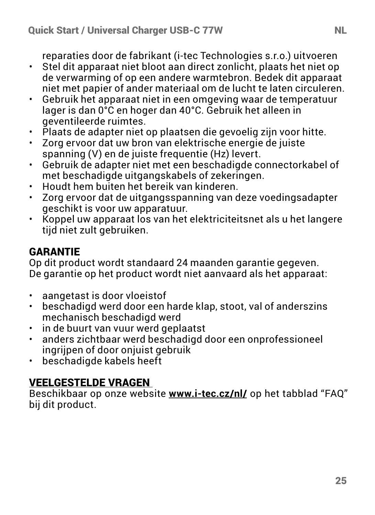reparaties door de fabrikant (i-tec Technologies s.r.o.) uitvoeren

- Stel dit apparaat niet bloot aan direct zonlicht, plaats het niet op de verwarming of op een andere warmtebron. Bedek dit apparaat niet met papier of ander materiaal om de lucht te laten circuleren.
- Gebruik het apparaat niet in een omgeving waar de temperatuur lager is dan 0°C en hoger dan 40°C. Gebruik het alleen in geventileerde ruimtes.
- Plaats de adapter niet op plaatsen die gevoelig zijn voor hitte.
- Zorg ervoor dat uw bron van elektrische energie de juiste spanning (V) en de juiste frequentie (Hz) levert.
- Gebruik de adapter niet met een beschadigde connectorkabel of met beschadigde uitgangskabels of zekeringen.
- Houdt hem buiten het bereik van kinderen.
- Zorg ervoor dat de uitgangsspanning van deze voedingsadapter geschikt is voor uw apparatuur.
- Koppel uw apparaat los van het elektriciteitsnet als u het langere tijd niet zult gebruiken.

#### **GARANTIF**

Op dit product wordt standaard 24 maanden garantie gegeven. De garantie op het product wordt niet aanvaard als het apparaat:

- aangetast is door vloeistof
- beschadigd werd door een harde klap, stoot, val of anderszins mechanisch beschadigd werd
- in de buurt van vuur werd geplaatst
- anders zichtbaar werd beschadigd door een onprofessioneel ingrijpen of door onjuist gebruik
- beschadigde kabels heeft

### VEELGESTELDE VRAGEN

Beschikbaar op onze website **www.i-tec.cz/nl/** op het tabblad "FAQ" bij dit product.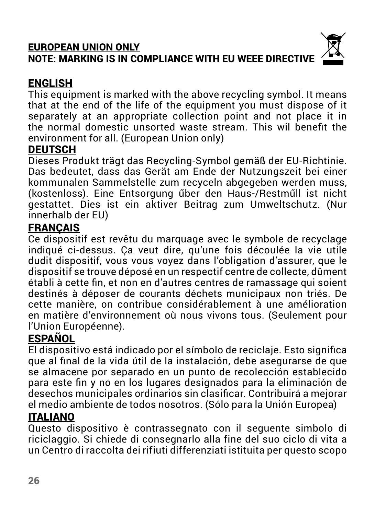#### EUROPEAN UNION ONLY NOTE: MARKING IS IN COMPLIANCE WITH EU WEEE DIRECTIVE



## ENGLISH

This equipment is marked with the above recycling symbol. It means that at the end of the life of the equipment you must dispose of it separately at an appropriate collection point and not place it in the normal domestic unsorted waste stream. This wil benefit the environment for all. (European Union only)

## DEUTSCH

Dieses Produkt trägt das Recycling-Symbol gemäß der EU-Richtinie. Das bedeutet, dass das Gerät am Ende der Nutzungszeit bei einer kommunalen Sammelstelle zum recyceln abgegeben werden muss, (kostenloss). Eine Entsorgung űber den Haus-/Restműll ist nicht gestattet. Dies ist ein aktiver Beitrag zum Umweltschutz. (Nur innerhalb der EU)

#### **FRANCAIS**

Ce dispositif est revêtu du marquage avec le symbole de recyclage indiqué ci-dessus. Ça veut dire, qu'une fois découlée la vie utile dudit dispositif, vous vous voyez dans l'obligation d'assurer, que le dispositif se trouve déposé en un respectif centre de collecte, dûment établi à cette fin, et non en d'autres centres de ramassage qui soient destinés à déposer de courants déchets municipaux non triés. De cette manière, on contribue considérablement à une amélioration en matière d'environnement où nous vivons tous. (Seulement pour l'Union Européenne).

## ESPAÑOL

El dispositivo está indicado por el símbolo de reciclaje. Esto significa que al final de la vida útil de la instalación, debe asegurarse de que se almacene por separado en un punto de recolección establecido para este fin y no en los lugares designados para la eliminación de desechos municipales ordinarios sin clasificar. Contribuirá a mejorar el medio ambiente de todos nosotros. (Sólo para la Unión Europea)

#### ITALIANO

Questo dispositivo è contrassegnato con il seguente simbolo di riciclaggio. Si chiede di consegnarlo alla fine del suo ciclo di vita a un Centro di raccolta dei rifiuti differenziati istituita per questo scopo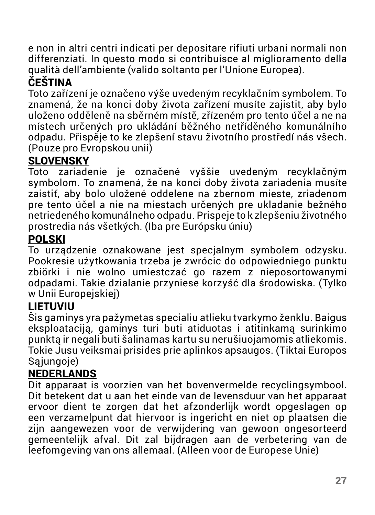e non in altri centri indicati per depositare rifiuti urbani normali non differenziati. In questo modo si contribuisce al miglioramento della qualità dell'ambiente (valido soltanto per l'Unione Europea).

# ČEŠTINA

Toto zařízení je označeno výše uvedeným recyklačním symbolem. To znamená, že na konci doby života zařízení musíte zajistit, aby bylo uloženo odděleně na sběrném místě, zřízeném pro tento účel a ne na místech určených pro ukládání běžného netříděného komunálního odpadu. Přispěje to ke zlepšení stavu životního prostředí nás všech. (Pouze pro Evropskou unii)

# SLOVENSKY

Toto zariadenie je označené vyššie uvedeným recyklačným<br>symbolom. To znamená, že na konci doby života zariadenia musíte<br>zaistiť, aby bolo uložené oddelene na zbernom mieste, zriadenom<br>pre tento účel a nie na miestach určen

# POLSKI

To urządzenie oznakowane jest specjalnym symbolem odzysku.<br>Pookresie użytkowania trzeba je zwrócic do odpowiedniego punktu<br>zbiörki i nie wolno umiestczać go razem z nieposortowanymi<br>odpadami. Takie dzialanie przyniese korz w Unii Europejskiej)

# LIETUVIU

Sis gaminys yra pažymetas specialiu atlieku tvarkymo ženklu. Baigus<br>eksploataciją, gaminys turi buti atiduotas i atitinkamą surinkimo<br>punktą ir negali buti šalinamas kartu su nerušiuojamomis atliekomis. Tokie Jusu veiksmai prisides prie aplinkos apsaugos. (Tiktai Europos Sąjungoje)

### NEDERLANDS

Dit apparaat is voorzien van het bovenvermelde recyclingsymbool. Dit betekent dat u aan het einde van de levensduur van het apparaat ervoor dient te zorgen dat het afzonderlijk wordt opgeslagen op een verzamelpunt dat hiervoor is ingericht en niet op plaatsen die<br>zijn aangewezen voor de verwijdering van gewoon ongesorteerd<br>gemeentelijk afval. Dit zal bijdragen aan de verbetering van de<br>leefomgeving vanons allemaal.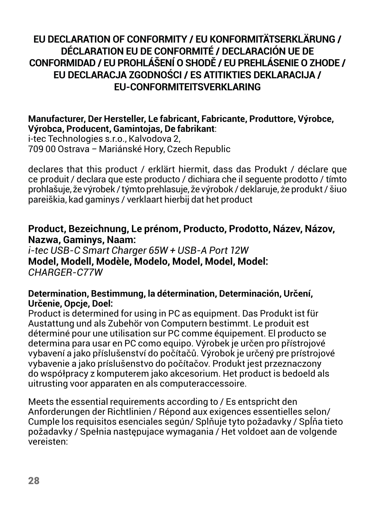#### **EU DECLARATION OF CONFORMITY / EU KONFORMITÄTSERKLÄRUNG / DÉCLARATION EU DE CONFORMITÉ / DECLARACIÓN UE DE CONFORMIDAD / EU PROHLÁŠENÍ O SHODĚ / EU PREHLÁSENIE O ZHODE / EU DECLARACJA ZGODNOŚCI / ES ATITIKTIES DEKLARACIJA / EU-CONFORMITEITSVERKLARING**

#### **Manufacturer, Der Hersteller, Le fabricant, Fabricante, Produttore, Výrobce, Výrobca, Producent, Gamintojas, De fabrikant**:

i-tec Technologies s.r.o., Kalvodova 2, 709 00 Ostrava *–* Mariánské Hory, Czech Republic

declares that this product / erklärt hiermit, dass das Produkt / déclare que ce produit / declara que este producto / dichiara che il seguente prodotto / tímto prohlašuje, že výrobek / týmto prehlasuje, že výrobok / deklaruje, że produkt / šiuo pareiškia, kad gaminys / verklaart hierbij dat het product

#### **Product, Bezeichnung, Le prénom, Producto, Prodotto, Název, Názov, Nazwa, Gaminys, Naam:**

*i-tec USB-C Smart Charger 65W + USB-A Port 12W*  **Model, Modell, Modèle, Modelo, Model, Model, Model:**  *CHARGER-C77W*

#### **Determination, Bestimmung, la détermination, Determinación, Určení, Určenie, Opcje, Doel:**

Product is determined for using in PC as equipment. Das Produkt ist für Austattung und als Zubehör von Computern bestimmt. Le produit est déterminé pour une utilisation sur PC comme équipement. El producto se determina para usar en PC como equipo. Výrobek je určen pro přístrojové vybavení a jako příslušenství do počítačů. Výrobok je určený pre prístrojové vybavenie a jako príslušenstvo do počítačov. Produkt jest przeznaczony do współpracy z komputerem jako akcesorium. Het product is bedoeld als uitrusting voor apparaten en als computeraccessoire.

Meets the essential requirements according to / Es entspricht den Anforderungen der Richtlinien / Répond aux exigences essentielles selon/ Cumple los requisitos esenciales según/ Splňuje tyto požadavky / Spĺňa tieto požadavky / Spełnia następujace wymagania / Het voldoet aan de volgende vereisten: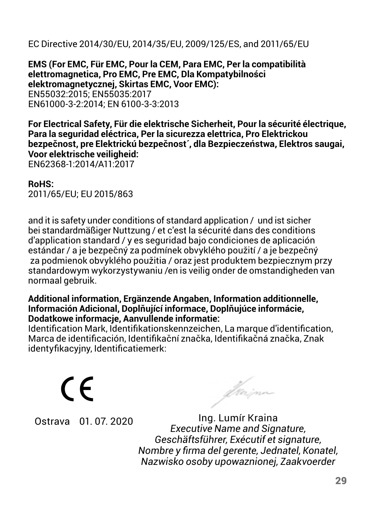EC Directive 2014/30/EU, 2014/35/EU, 2009/125/ES, and 2011/65/EU

**EMS (For EMC, Für EMC, Pour la CEM, Para EMC, Per la compatibilità elettromagnetica, Pro EMC, Pre EMC, Dla Kompatybilności elektromagnetycznej, Skirtas EMC, Voor EMC):** EN55032:2015; EN55035:2017 EN61000-3-2:2014; EN 6100-3-3:2013

**For Electrical Safety, Für die elektrische Sicherheit, Pour la sécurité électrique, Para la seguridad eléctrica, Per la sicurezza elettrica, Pro Elektrickou bezpečnost, pre Elektrickú bezpečnost´, dla Bezpieczeństwa, Elektros saugai, Voor elektrische veiligheid:**

EN62368-1:2014/A11:2017

**RoHS:**

2011/65/EU; EU 2015/863

and it is safety under conditions of standard application / und ist sicher bei standardmäßiger Nuttzung / et c'est la sécurité dans des conditions d'application standard / y es seguridad bajo condiciones de aplicación estándar / a je bezpečný za podmínek obvyklého použití / a je bezpečný za podmienok obvyklého použitia / oraz jest produktem bezpiecznym przy standardowym wykorzystywaniu /en is veilig onder de omstandigheden van normaal gebruik.

**Additional information, Ergänzende Angaben, Information additionnelle, Información Adicional, Doplňující informace, Doplňujúce informácie, Dodatkowe informacje, Aanvullende informatie:**

Identification Mark, Identifikationskennzeichen, La marque d'identification, Marca de identificación, Identifikační značka, Identifikačná značka, Znak identyfikacyjny, Identificatiemerk:

 $\epsilon$ 

Vain

Ostrava 01. 07. 2020

Ing. Lumír Kraina *Executive Name and Signature, Geschäftsführer, Exécutif et signature, Nombre y firma del gerente, Jednatel, Konatel, Nazwisko osoby upowaznionej, Zaakvoerder*